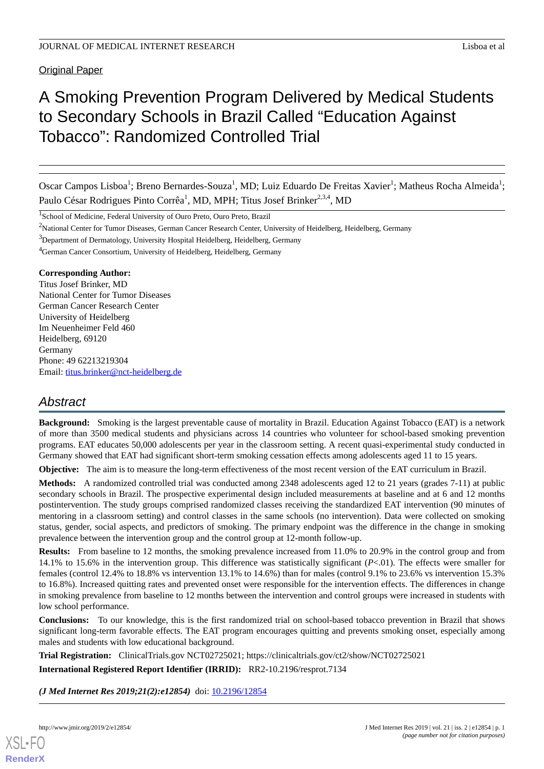Original Paper

# A Smoking Prevention Program Delivered by Medical Students to Secondary Schools in Brazil Called "Education Against Tobacco": Randomized Controlled Trial

Oscar Campos Lisboa<sup>1</sup>; Breno Bernardes-Souza<sup>1</sup>, MD; Luiz Eduardo De Freitas Xavier<sup>1</sup>; Matheus Rocha Almeida<sup>1</sup>; Paulo César Rodrigues Pinto Corrêa<sup>1</sup>, MD, MPH; Titus Josef Brinker<sup>2,3,4</sup>, MD

<sup>1</sup>School of Medicine, Federal University of Ouro Preto, Ouro Preto, Brazil

<sup>2</sup>National Center for Tumor Diseases, German Cancer Research Center, University of Heidelberg, Heidelberg, Germany

<sup>3</sup>Department of Dermatology, University Hospital Heidelberg, Heidelberg, Germany

<sup>4</sup>German Cancer Consortium, University of Heidelberg, Heidelberg, Germany

# **Corresponding Author:**

Titus Josef Brinker, MD National Center for Tumor Diseases German Cancer Research Center University of Heidelberg Im Neuenheimer Feld 460 Heidelberg, 69120 Germany Phone: 49 62213219304 Email: [titus.brinker@nct-heidelberg.de](mailto:titus.brinker@nct-heidelberg.de)

# *Abstract*

**Background:** Smoking is the largest preventable cause of mortality in Brazil. Education Against Tobacco (EAT) is a network of more than 3500 medical students and physicians across 14 countries who volunteer for school-based smoking prevention programs. EAT educates 50,000 adolescents per year in the classroom setting. A recent quasi-experimental study conducted in Germany showed that EAT had significant short-term smoking cessation effects among adolescents aged 11 to 15 years.

**Objective:** The aim is to measure the long-term effectiveness of the most recent version of the EAT curriculum in Brazil.

**Methods:** A randomized controlled trial was conducted among 2348 adolescents aged 12 to 21 years (grades 7-11) at public secondary schools in Brazil. The prospective experimental design included measurements at baseline and at 6 and 12 months postintervention. The study groups comprised randomized classes receiving the standardized EAT intervention (90 minutes of mentoring in a classroom setting) and control classes in the same schools (no intervention). Data were collected on smoking status, gender, social aspects, and predictors of smoking. The primary endpoint was the difference in the change in smoking prevalence between the intervention group and the control group at 12-month follow-up.

**Results:** From baseline to 12 months, the smoking prevalence increased from 11.0% to 20.9% in the control group and from 14.1% to 15.6% in the intervention group. This difference was statistically significant (*P*<.01). The effects were smaller for females (control 12.4% to 18.8% vs intervention 13.1% to 14.6%) than for males (control 9.1% to 23.6% vs intervention 15.3% to 16.8%). Increased quitting rates and prevented onset were responsible for the intervention effects. The differences in change in smoking prevalence from baseline to 12 months between the intervention and control groups were increased in students with low school performance.

**Conclusions:** To our knowledge, this is the first randomized trial on school-based tobacco prevention in Brazil that shows significant long-term favorable effects. The EAT program encourages quitting and prevents smoking onset, especially among males and students with low educational background.

**Trial Registration:** ClinicalTrials.gov NCT02725021; https://clinicaltrials.gov/ct2/show/NCT02725021

**International Registered Report Identifier (IRRID):** RR2-10.2196/resprot.7134

*(J Med Internet Res 2019;21(2):e12854)* doi:  $10.2196/12854$ 

**[RenderX](http://www.renderx.com/)**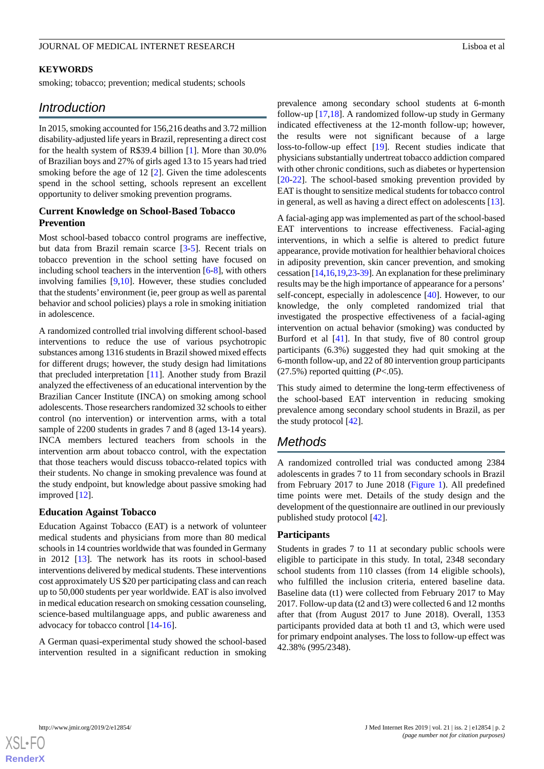#### **KEYWORDS**

smoking; tobacco; prevention; medical students; schools

# *Introduction*

In 2015, smoking accounted for 156,216 deaths and 3.72 million disability-adjusted life years in Brazil, representing a direct cost for the health system of R\$39.4 billion [[1\]](#page-8-0). More than 30.0% of Brazilian boys and 27% of girls aged 13 to 15 years had tried smoking before the age of 12 [\[2\]](#page-8-1). Given the time adolescents spend in the school setting, schools represent an excellent opportunity to deliver smoking prevention programs.

## **Current Knowledge on School-Based Tobacco Prevention**

Most school-based tobacco control programs are ineffective, but data from Brazil remain scarce [\[3](#page-8-2)-[5\]](#page-8-3). Recent trials on tobacco prevention in the school setting have focused on including school teachers in the intervention [\[6](#page-8-4)-[8\]](#page-8-5), with others involving families [\[9](#page-9-0),[10\]](#page-9-1). However, these studies concluded that the students' environment (ie, peer group as well as parental behavior and school policies) plays a role in smoking initiation in adolescence.

A randomized controlled trial involving different school-based interventions to reduce the use of various psychotropic substances among 1316 students in Brazil showed mixed effects for different drugs; however, the study design had limitations that precluded interpretation [\[11](#page-9-2)]. Another study from Brazil analyzed the effectiveness of an educational intervention by the Brazilian Cancer Institute (INCA) on smoking among school adolescents. Those researchers randomized 32 schools to either control (no intervention) or intervention arms, with a total sample of 2200 students in grades 7 and 8 (aged 13-14 years). INCA members lectured teachers from schools in the intervention arm about tobacco control, with the expectation that those teachers would discuss tobacco-related topics with their students. No change in smoking prevalence was found at the study endpoint, but knowledge about passive smoking had improved [\[12](#page-9-3)].

#### **Education Against Tobacco**

Education Against Tobacco (EAT) is a network of volunteer medical students and physicians from more than 80 medical schools in 14 countries worldwide that was founded in Germany in 2012 [\[13](#page-9-4)]. The network has its roots in school-based interventions delivered by medical students. These interventions cost approximately US \$20 per participating class and can reach up to 50,000 students per year worldwide. EAT is also involved in medical education research on smoking cessation counseling, science-based multilanguage apps, and public awareness and advocacy for tobacco control [\[14](#page-9-5)-[16\]](#page-9-6).

A German quasi-experimental study showed the school-based intervention resulted in a significant reduction in smoking

prevalence among secondary school students at 6-month follow-up [[17,](#page-9-7)[18](#page-9-8)]. A randomized follow-up study in Germany indicated effectiveness at the 12-month follow-up; however, the results were not significant because of a large loss-to-follow-up effect [[19\]](#page-9-9). Recent studies indicate that physicians substantially undertreat tobacco addiction compared with other chronic conditions, such as diabetes or hypertension [[20](#page-9-10)[-22](#page-9-11)]. The school-based smoking prevention provided by EAT is thought to sensitize medical students for tobacco control in general, as well as having a direct effect on adolescents [[13\]](#page-9-4).

A facial-aging app was implemented as part of the school-based EAT interventions to increase effectiveness. Facial-aging interventions, in which a selfie is altered to predict future appearance, provide motivation for healthier behavioral choices in adiposity prevention, skin cancer prevention, and smoking cessation [\[14](#page-9-5),[16](#page-9-6),[19](#page-9-9),[23-](#page-9-12)[39\]](#page-10-0). An explanation for these preliminary results may be the high importance of appearance for a persons' self-concept, especially in adolescence [[40\]](#page-10-1). However, to our knowledge, the only completed randomized trial that investigated the prospective effectiveness of a facial-aging intervention on actual behavior (smoking) was conducted by Burford et al [\[41](#page-10-2)]. In that study, five of 80 control group participants (6.3%) suggested they had quit smoking at the 6-month follow-up, and 22 of 80 intervention group participants  $(27.5\%)$  reported quitting  $(P<.05)$ .

This study aimed to determine the long-term effectiveness of the school-based EAT intervention in reducing smoking prevalence among secondary school students in Brazil, as per the study protocol [[42\]](#page-10-3).

# *Methods*

A randomized controlled trial was conducted among 2384 adolescents in grades 7 to 11 from secondary schools in Brazil from February 2017 to June 2018 ([Figure 1](#page-2-0)). All predefined time points were met. Details of the study design and the development of the questionnaire are outlined in our previously published study protocol [\[42](#page-10-3)].

#### **Participants**

Students in grades 7 to 11 at secondary public schools were eligible to participate in this study. In total, 2348 secondary school students from 110 classes (from 14 eligible schools), who fulfilled the inclusion criteria, entered baseline data. Baseline data (t1) were collected from February 2017 to May 2017. Follow-up data (t2 and t3) were collected 6 and 12 months after that (from August 2017 to June 2018). Overall, 1353 participants provided data at both t1 and t3, which were used for primary endpoint analyses. The loss to follow-up effect was 42.38% (995/2348).

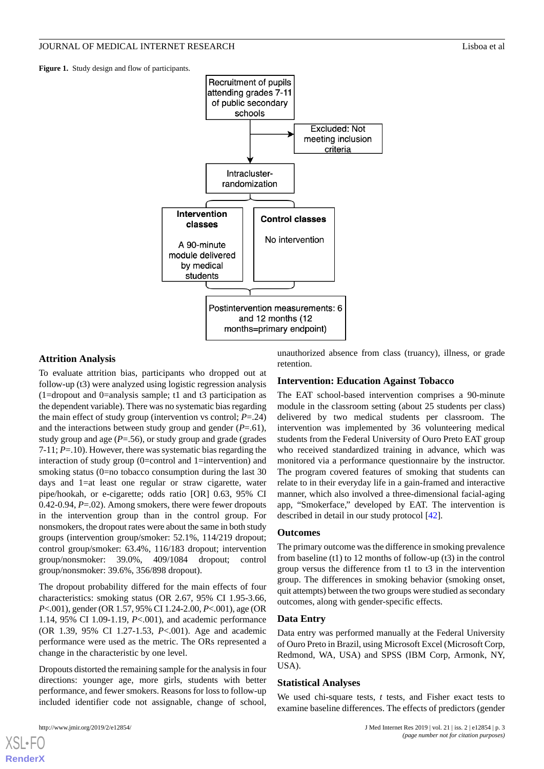<span id="page-2-0"></span>**Figure 1.** Study design and flow of participants.



# **Attrition Analysis**

To evaluate attrition bias, participants who dropped out at follow-up (t3) were analyzed using logistic regression analysis (1=dropout and 0=analysis sample; t1 and t3 participation as the dependent variable). There was no systematic bias regarding the main effect of study group (intervention vs control; *P*=.24) and the interactions between study group and gender (*P*=.61), study group and age (*P*=.56), or study group and grade (grades 7-11; *P*=.10). However, there was systematic bias regarding the interaction of study group (0=control and 1=intervention) and smoking status (0=no tobacco consumption during the last 30 days and 1=at least one regular or straw cigarette, water pipe/hookah, or e-cigarette; odds ratio [OR] 0.63, 95% CI 0.42-0.94, *P*=.02). Among smokers, there were fewer dropouts in the intervention group than in the control group. For nonsmokers, the dropout rates were about the same in both study groups (intervention group/smoker: 52.1%, 114/219 dropout; control group/smoker: 63.4%, 116/183 dropout; intervention group/nonsmoker: 39.0%, 409/1084 dropout; control group/nonsmoker: 39.6%, 356/898 dropout).

The dropout probability differed for the main effects of four characteristics: smoking status (OR 2.67, 95% CI 1.95-3.66, *P*<.001), gender (OR 1.57, 95% CI 1.24-2.00, *P*<.001), age (OR 1.14, 95% CI 1.09-1.19, *P*<.001), and academic performance (OR 1.39, 95% CI 1.27-1.53, *P*<.001). Age and academic performance were used as the metric. The ORs represented a change in the characteristic by one level.

Dropouts distorted the remaining sample for the analysis in four directions: younger age, more girls, students with better performance, and fewer smokers. Reasons for loss to follow-up included identifier code not assignable, change of school,

[XSL](http://www.w3.org/Style/XSL)•FO **[RenderX](http://www.renderx.com/)**

unauthorized absence from class (truancy), illness, or grade retention.

#### **Intervention: Education Against Tobacco**

The EAT school-based intervention comprises a 90-minute module in the classroom setting (about 25 students per class) delivered by two medical students per classroom. The intervention was implemented by 36 volunteering medical students from the Federal University of Ouro Preto EAT group who received standardized training in advance, which was monitored via a performance questionnaire by the instructor. The program covered features of smoking that students can relate to in their everyday life in a gain-framed and interactive manner, which also involved a three-dimensional facial-aging app, "Smokerface," developed by EAT. The intervention is described in detail in our study protocol [[42\]](#page-10-3).

#### **Outcomes**

The primary outcome was the difference in smoking prevalence from baseline (t1) to 12 months of follow-up (t3) in the control group versus the difference from t1 to t3 in the intervention group. The differences in smoking behavior (smoking onset, quit attempts) between the two groups were studied as secondary outcomes, along with gender-specific effects.

#### **Data Entry**

Data entry was performed manually at the Federal University of Ouro Preto in Brazil, using Microsoft Excel (Microsoft Corp, Redmond, WA, USA) and SPSS (IBM Corp, Armonk, NY, USA).

#### **Statistical Analyses**

We used chi-square tests, *t* tests, and Fisher exact tests to examine baseline differences. The effects of predictors (gender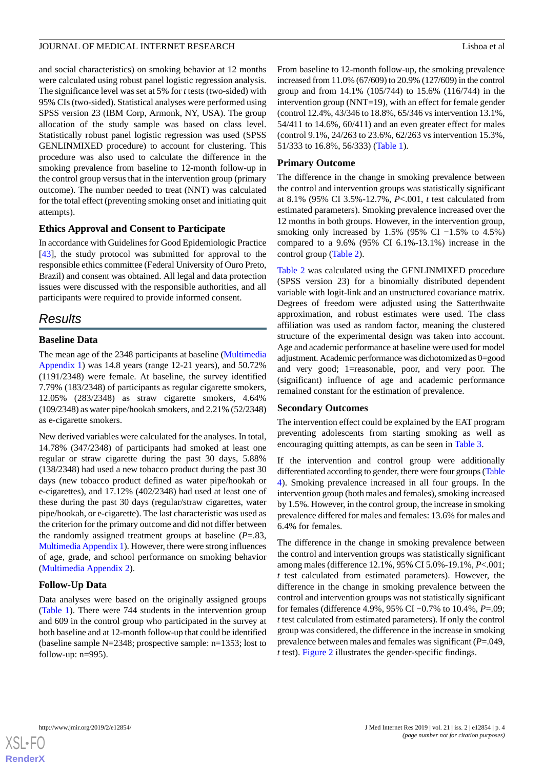and social characteristics) on smoking behavior at 12 months were calculated using robust panel logistic regression analysis. The significance level was set at 5% for *t* tests (two-sided) with 95% CIs (two-sided). Statistical analyses were performed using SPSS version 23 (IBM Corp, Armonk, NY, USA). The group allocation of the study sample was based on class level. Statistically robust panel logistic regression was used (SPSS GENLINMIXED procedure) to account for clustering. This procedure was also used to calculate the difference in the smoking prevalence from baseline to 12-month follow-up in the control group versus that in the intervention group (primary outcome). The number needed to treat (NNT) was calculated for the total effect (preventing smoking onset and initiating quit attempts).

# **Ethics Approval and Consent to Participate**

In accordance with Guidelines for Good Epidemiologic Practice [[43\]](#page-10-4), the study protocol was submitted for approval to the responsible ethics committee (Federal University of Ouro Preto, Brazil) and consent was obtained. All legal and data protection issues were discussed with the responsible authorities, and all participants were required to provide informed consent.

# *Results*

# **Baseline Data**

The mean age of the 2348 participants at baseline ([Multimedia](#page-8-6) [Appendix 1\)](#page-8-6) was 14.8 years (range 12-21 years), and 50.72% (1191/2348) were female. At baseline, the survey identified 7.79% (183/2348) of participants as regular cigarette smokers, 12.05% (283/2348) as straw cigarette smokers, 4.64% (109/2348) as water pipe/hookah smokers, and 2.21% (52/2348) as e-cigarette smokers.

New derived variables were calculated for the analyses. In total, 14.78% (347/2348) of participants had smoked at least one regular or straw cigarette during the past 30 days, 5.88% (138/2348) had used a new tobacco product during the past 30 days (new tobacco product defined as water pipe/hookah or e-cigarettes), and 17.12% (402/2348) had used at least one of these during the past 30 days (regular/straw cigarettes, water pipe/hookah, or e-cigarette). The last characteristic was used as the criterion for the primary outcome and did not differ between the randomly assigned treatment groups at baseline (*P*=.83, [Multimedia Appendix 1\)](#page-8-6). However, there were strong influences of age, grade, and school performance on smoking behavior ([Multimedia Appendix 2\)](#page-8-7).

# **Follow-Up Data**

Data analyses were based on the originally assigned groups ([Table 1](#page-4-0)). There were 744 students in the intervention group and 609 in the control group who participated in the survey at both baseline and at 12-month follow-up that could be identified (baseline sample N=2348; prospective sample: n=1353; lost to follow-up: n=995).

From baseline to 12-month follow-up, the smoking prevalence increased from 11.0% (67/609) to 20.9% (127/609) in the control group and from 14.1% (105/744) to 15.6% (116/744) in the intervention group (NNT=19), with an effect for female gender (control 12.4%, 43/346 to 18.8%, 65/346 vs intervention 13.1%, 54/411 to 14.6%, 60/411) and an even greater effect for males (control 9.1%, 24/263 to 23.6%, 62/263 vs intervention 15.3%, 51/333 to 16.8%, 56/333) ([Table 1](#page-4-0)).

# **Primary Outcome**

The difference in the change in smoking prevalence between the control and intervention groups was statistically significant at 8.1% (95% CI 3.5%-12.7%, *P*<.001, *t* test calculated from estimated parameters). Smoking prevalence increased over the 12 months in both groups. However, in the intervention group, smoking only increased by 1.5% (95% CI  $-1.5\%$  to 4.5%) compared to a 9.6% (95% CI 6.1%-13.1%) increase in the control group ([Table 2](#page-5-0)).

[Table 2](#page-5-0) was calculated using the GENLINMIXED procedure (SPSS version 23) for a binomially distributed dependent variable with logit-link and an unstructured covariance matrix. Degrees of freedom were adjusted using the Satterthwaite approximation, and robust estimates were used. The class affiliation was used as random factor, meaning the clustered structure of the experimental design was taken into account. Age and academic performance at baseline were used for model adjustment. Academic performance was dichotomized as 0=good and very good; 1=reasonable, poor, and very poor. The (significant) influence of age and academic performance remained constant for the estimation of prevalence.

#### **Secondary Outcomes**

The intervention effect could be explained by the EAT program preventing adolescents from starting smoking as well as encouraging quitting attempts, as can be seen in [Table 3](#page-5-1).

If the intervention and control group were additionally differentiated according to gender, there were four groups [\(Table](#page-6-0) [4\)](#page-6-0). Smoking prevalence increased in all four groups. In the intervention group (both males and females), smoking increased by 1.5%. However, in the control group, the increase in smoking prevalence differed for males and females: 13.6% for males and 6.4% for females.

The difference in the change in smoking prevalence between the control and intervention groups was statistically significant among males (difference 12.1%, 95% CI 5.0%-19.1%, *P*<.001; *t* test calculated from estimated parameters). However, the difference in the change in smoking prevalence between the control and intervention groups was not statistically significant for females (difference 4.9%, 95% CI −0.7% to 10.4%, *P*=.09; *t* test calculated from estimated parameters). If only the control group was considered, the difference in the increase in smoking prevalence between males and females was significant (*P*=.049, *t* test). [Figure 2](#page-6-1) illustrates the gender-specific findings.

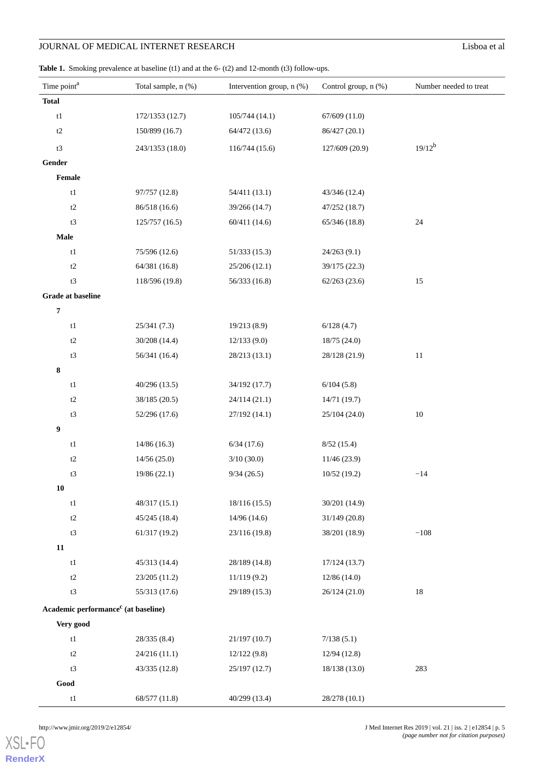<span id="page-4-0"></span>Table 1. Smoking prevalence at baseline (t1) and at the 6- (t2) and 12-month (t3) follow-ups.

| Time point <sup>a</sup>                         | Total sample, n (%) | Intervention group, n (%) | Control group, n (%) | Number needed to treat |
|-------------------------------------------------|---------------------|---------------------------|----------------------|------------------------|
| <b>Total</b>                                    |                     |                           |                      |                        |
| $\ensuremath{\mathrm{t1}}$                      | 172/1353 (12.7)     | 105/744(14.1)             | 67/609(11.0)         |                        |
| $\mathsf{t2}$                                   | 150/899 (16.7)      | 64/472 (13.6)             | 86/427 (20.1)        |                        |
| t3                                              | 243/1353 (18.0)     | 116/744 (15.6)            | 127/609 (20.9)       | $19/12^{b}$            |
| Gender                                          |                     |                           |                      |                        |
| Female                                          |                     |                           |                      |                        |
| $\ensuremath{\mathrm{t1}}$                      | 97/757 (12.8)       | 54/411 (13.1)             | 43/346 (12.4)        |                        |
| t2                                              | 86/518 (16.6)       | 39/266 (14.7)             | 47/252 (18.7)        |                        |
| t3                                              | 125/757 (16.5)      | 60/411 (14.6)             | 65/346 (18.8)        | $24\,$                 |
| <b>Male</b>                                     |                     |                           |                      |                        |
| $\ensuremath{\mathrm{t1}}$                      | 75/596 (12.6)       | 51/333(15.3)              | 24/263 (9.1)         |                        |
| t2                                              | 64/381 (16.8)       | 25/206 (12.1)             | 39/175 (22.3)        |                        |
| t3                                              | 118/596 (19.8)      | 56/333 (16.8)             | 62/263(23.6)         | 15                     |
| <b>Grade at baseline</b>                        |                     |                           |                      |                        |
| $\pmb{7}$                                       |                     |                           |                      |                        |
| $\ensuremath{\mathrm{t1}}$                      | 25/341(7.3)         | 19/213 (8.9)              | 6/128(4.7)           |                        |
| t2                                              | 30/208 (14.4)       | 12/133(9.0)               | 18/75(24.0)          |                        |
| t3                                              | 56/341 (16.4)       | 28/213 (13.1)             | 28/128 (21.9)        | $11\,$                 |
| 8                                               |                     |                           |                      |                        |
| t1                                              | 40/296 (13.5)       | 34/192 (17.7)             | 6/104(5.8)           |                        |
| t2                                              | 38/185 (20.5)       | 24/114 (21.1)             | 14/71 (19.7)         |                        |
| t3                                              | 52/296 (17.6)       | 27/192 (14.1)             | 25/104 (24.0)        | $10\,$                 |
| 9                                               |                     |                           |                      |                        |
| t1                                              | 14/86 (16.3)        | 6/34(17.6)                | 8/52(15.4)           |                        |
| $\mathsf{t2}$                                   | 14/56(25.0)         | 3/10(30.0)                | 11/46(23.9)          |                        |
| t3                                              | 19/86 (22.1)        | 9/34(26.5)                | 10/52(19.2)          | $-14$                  |
| ${\bf 10}$                                      |                     |                           |                      |                        |
| $\mathrm{t}1$                                   | 48/317 (15.1)       | 18/116(15.5)              | 30/201 (14.9)        |                        |
| $\mathsf{t2}$                                   | 45/245(18.4)        | 14/96(14.6)               | 31/149(20.8)         |                        |
| t3                                              | 61/317 (19.2)       | 23/116 (19.8)             | 38/201 (18.9)        | $-108$                 |
| ${\bf 11}$                                      |                     |                           |                      |                        |
| $\ensuremath{\mathrm{t1}}$                      | 45/313 (14.4)       | 28/189 (14.8)             | 17/124(13.7)         |                        |
| t2                                              | 23/205 (11.2)       | 11/119(9.2)               | 12/86(14.0)          |                        |
| t3                                              | 55/313 (17.6)       | 29/189 (15.3)             | 26/124 (21.0)        | $18\,$                 |
| Academic performance <sup>c</sup> (at baseline) |                     |                           |                      |                        |
| Very good                                       |                     |                           |                      |                        |
| $\ensuremath{\mathrm{t1}}$                      | 28/335 (8.4)        | 21/197(10.7)              | 7/138(5.1)           |                        |
| t2                                              | 24/216 (11.1)       | 12/122(9.8)               | 12/94 (12.8)         |                        |
| t3                                              | 43/335 (12.8)       | 25/197 (12.7)             | 18/138 (13.0)        | 283                    |
| $\mathbf{Good}$                                 |                     |                           |                      |                        |
| $\ensuremath{\mathrm{t1}}$                      | 68/577 (11.8)       | 40/299 (13.4)             | 28/278 (10.1)        |                        |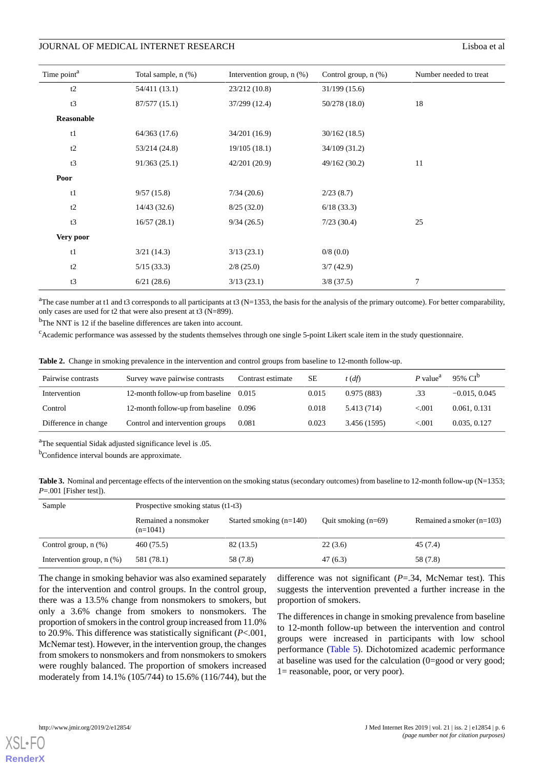| Time point <sup>a</sup> | Total sample, n (%) | Intervention group, $n$ $(\%)$ | Control group, n (%) | Number needed to treat |  |
|-------------------------|---------------------|--------------------------------|----------------------|------------------------|--|
| t2                      | 54/411 (13.1)       | 23/212 (10.8)                  | 31/199(15.6)         |                        |  |
| t3                      | 87/577 (15.1)       | 37/299 (12.4)                  | 50/278(18.0)         | 18                     |  |
| Reasonable              |                     |                                |                      |                        |  |
| t1                      | 64/363 (17.6)       | 34/201 (16.9)                  | 30/162(18.5)         |                        |  |
| t2                      | 53/214 (24.8)       | 19/105(18.1)                   | 34/109 (31.2)        |                        |  |
| t3                      | 91/363(25.1)        | 42/201 (20.9)                  | 49/162 (30.2)        | 11                     |  |
| Poor                    |                     |                                |                      |                        |  |
| t1                      | 9/57(15.8)          | 7/34(20.6)                     | 2/23(8.7)            |                        |  |
| t2                      | 14/43(32.6)         | 8/25(32.0)                     | 6/18(33.3)           |                        |  |
| t3                      | 16/57(28.1)         | 9/34(26.5)                     | 7/23(30.4)           | 25                     |  |
| Very poor               |                     |                                |                      |                        |  |
| t1                      | 3/21(14.3)          | 3/13(23.1)                     | 0/8(0.0)             |                        |  |
| t2                      | 5/15(33.3)          | 2/8(25.0)                      | 3/7(42.9)            |                        |  |
| t3                      | 6/21(28.6)          | 3/13(23.1)                     | $3/8$ (37.5)         | 7                      |  |

<sup>a</sup>The case number at t1 and t3 corresponds to all participants at t3 (N=1353, the basis for the analysis of the primary outcome). For better comparability, only cases are used for t2 that were also present at t3 (N=899).

<span id="page-5-0"></span><sup>b</sup>The NNT is 12 if the baseline differences are taken into account.

<sup>c</sup>Academic performance was assessed by the students themselves through one single 5-point Likert scale item in the study questionnaire.

|  |  |  | Table 2. Change in smoking prevalence in the intervention and control groups from baseline to 12-month follow-up. |  |  |
|--|--|--|-------------------------------------------------------------------------------------------------------------------|--|--|
|--|--|--|-------------------------------------------------------------------------------------------------------------------|--|--|

| Pairwise contrasts   | Survey wave pairwise contrasts   | Contrast estimate | SЕ    | $t(d\hat{f})$ | $P$ value <sup>a</sup> | 95% CI <sup>b</sup> |
|----------------------|----------------------------------|-------------------|-------|---------------|------------------------|---------------------|
| Intervention         | 12-month follow-up from baseline | 0.015             | 0.015 | 0.975(883)    | .33                    | $-0.015, 0.045$     |
| Control              | 12-month follow-up from baseline | 0.096             | 0.018 | 5.413 (714)   | ${<}001$               | 0.061, 0.131        |
| Difference in change | Control and intervention groups  | 0.081             | 0.023 | 3.456 (1595)  | ${<}001$               | 0.035, 0.127        |

<span id="page-5-1"></span><sup>a</sup>The sequential Sidak adjusted significance level is .05.

<sup>b</sup>Confidence interval bounds are approximate.

Table 3. Nominal and percentage effects of the intervention on the smoking status (secondary outcomes) from baseline to 12-month follow-up (N=1353; *P*=.001 [Fisher test]).

| Sample                         | Prospective smoking status (t1-t3) |                           |                       |                             |  |  |
|--------------------------------|------------------------------------|---------------------------|-----------------------|-----------------------------|--|--|
|                                | Remained a nonsmoker<br>$(n=1041)$ | Started smoking $(n=140)$ | Quit smoking $(n=69)$ | Remained a smoker $(n=103)$ |  |  |
| Control group, $n$ $(\%)$      | 460 (75.5)                         | 82 (13.5)                 | 22(3.6)               | 45 (7.4)                    |  |  |
| Intervention group, $n$ $(\%)$ | 581 (78.1)                         | 58 (7.8)                  | 47(6.3)               | 58 (7.8)                    |  |  |

The change in smoking behavior was also examined separately for the intervention and control groups. In the control group, there was a 13.5% change from nonsmokers to smokers, but only a 3.6% change from smokers to nonsmokers. The proportion of smokers in the control group increased from 11.0% to 20.9%. This difference was statistically significant (*P*<.001, McNemar test). However, in the intervention group, the changes from smokers to nonsmokers and from nonsmokers to smokers were roughly balanced. The proportion of smokers increased moderately from 14.1% (105/744) to 15.6% (116/744), but the

difference was not significant (*P*=.34, McNemar test). This suggests the intervention prevented a further increase in the proportion of smokers.

The differences in change in smoking prevalence from baseline to 12-month follow-up between the intervention and control groups were increased in participants with low school performance ([Table 5\)](#page-7-0). Dichotomized academic performance at baseline was used for the calculation (0=good or very good; 1= reasonable, poor, or very poor).

[XSL](http://www.w3.org/Style/XSL)•FO **[RenderX](http://www.renderx.com/)**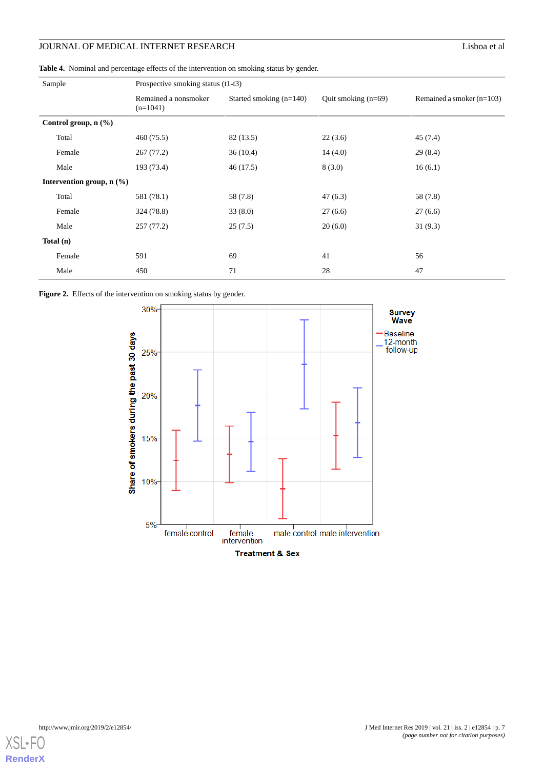<span id="page-6-0"></span>**Table 4.** Nominal and percentage effects of the intervention on smoking status by gender.

| Sample                      | Prospective smoking status (t1-t3) |                                                  |         |                             |  |  |
|-----------------------------|------------------------------------|--------------------------------------------------|---------|-----------------------------|--|--|
|                             | Remained a nonsmoker<br>$(n=1041)$ | Started smoking (n=140)<br>Quit smoking $(n=69)$ |         | Remained a smoker $(n=103)$ |  |  |
| Control group, n (%)        |                                    |                                                  |         |                             |  |  |
| Total                       | 460 (75.5)                         | 82 (13.5)                                        | 22(3.6) | 45(7.4)                     |  |  |
| Female                      | 267(77.2)                          | 36(10.4)                                         | 14(4.0) | 29(8.4)                     |  |  |
| Male                        | 193 (73.4)                         | 46(17.5)                                         | 8(3.0)  | 16(6.1)                     |  |  |
| Intervention group, $n$ (%) |                                    |                                                  |         |                             |  |  |
| Total                       | 581 (78.1)                         | 58 (7.8)                                         | 47(6.3) | 58 (7.8)                    |  |  |
| Female                      | 324 (78.8)                         | 33(8.0)                                          | 27(6.6) | 27(6.6)                     |  |  |
| Male                        | 257(77.2)                          | 25(7.5)                                          | 20(6.0) | 31(9.3)                     |  |  |
| Total $(n)$                 |                                    |                                                  |         |                             |  |  |
| Female                      | 591                                | 69                                               | 41      | 56                          |  |  |
| Male                        | 450                                | 71                                               | 28      | 47                          |  |  |

<span id="page-6-1"></span>Figure 2. Effects of the intervention on smoking status by gender.



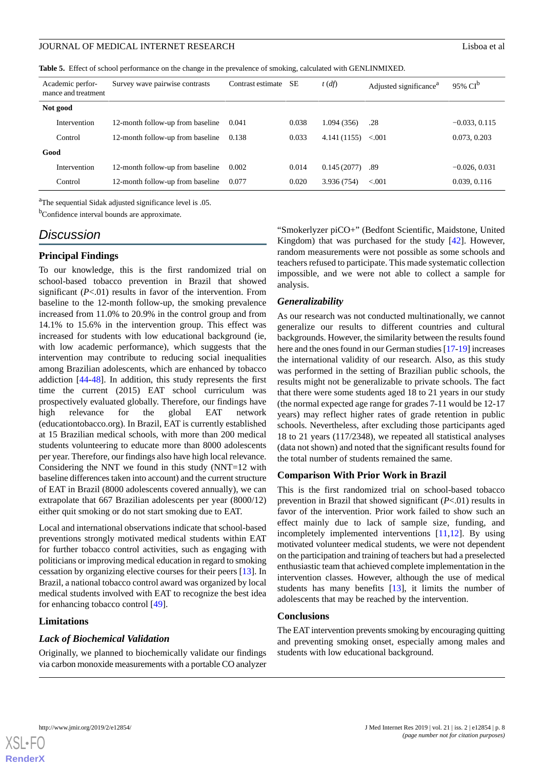<span id="page-7-0"></span>**Table 5.** Effect of school performance on the change in the prevalence of smoking, calculated with GENLINMIXED.

| Academic perfor-<br>mance and treatment | Survey wave pairwise contrasts   | Contrast estimate | SЕ    | $t(d\hat{f})$ | Adjusted significance <sup>a</sup> | 95% $CI^b$      |  |
|-----------------------------------------|----------------------------------|-------------------|-------|---------------|------------------------------------|-----------------|--|
| Not good                                |                                  |                   |       |               |                                    |                 |  |
| Intervention                            | 12-month follow-up from baseline | 0.041             | 0.038 | 1.094 (356)   | .28                                | $-0.033, 0.115$ |  |
| Control                                 | 12-month follow-up from baseline | 0.138             | 0.033 | 4.141 (1155)  | < 0.001                            | 0.073, 0.203    |  |
| Good                                    |                                  |                   |       |               |                                    |                 |  |
| Intervention                            | 12-month follow-up from baseline | 0.002             | 0.014 | 0.145(2077)   | .89                                | $-0.026, 0.031$ |  |
| Control                                 | 12-month follow-up from baseline | 0.077             | 0.020 | 3.936 (754)   | ${<}001$                           | 0.039, 0.116    |  |

<sup>a</sup>The sequential Sidak adjusted significance level is .05.

<sup>b</sup>Confidence interval bounds are approximate.

# *Discussion*

### **Principal Findings**

To our knowledge, this is the first randomized trial on school-based tobacco prevention in Brazil that showed significant (*P*<.01) results in favor of the intervention. From baseline to the 12-month follow-up, the smoking prevalence increased from 11.0% to 20.9% in the control group and from 14.1% to 15.6% in the intervention group. This effect was increased for students with low educational background (ie, with low academic performance), which suggests that the intervention may contribute to reducing social inequalities among Brazilian adolescents, which are enhanced by tobacco addiction [[44](#page-10-5)[-48](#page-10-6)]. In addition, this study represents the first time the current (2015) EAT school curriculum was prospectively evaluated globally. Therefore, our findings have high relevance for the global EAT network (educationtobacco.org). In Brazil, EAT is currently established at 15 Brazilian medical schools, with more than 200 medical students volunteering to educate more than 8000 adolescents per year. Therefore, our findings also have high local relevance. Considering the NNT we found in this study (NNT=12 with baseline differences taken into account) and the current structure of EAT in Brazil (8000 adolescents covered annually), we can extrapolate that 667 Brazilian adolescents per year (8000/12) either quit smoking or do not start smoking due to EAT.

Local and international observations indicate that school-based preventions strongly motivated medical students within EAT for further tobacco control activities, such as engaging with politicians or improving medical education in regard to smoking cessation by organizing elective courses for their peers [\[13](#page-9-4)]. In Brazil, a national tobacco control award was organized by local medical students involved with EAT to recognize the best idea for enhancing tobacco control [\[49](#page-10-7)].

#### **Limitations**

#### *Lack of Biochemical Validation*

Originally, we planned to biochemically validate our findings via carbon monoxide measurements with a portable CO analyzer "Smokerlyzer piCO+" (Bedfont Scientific, Maidstone, United Kingdom) that was purchased for the study [\[42](#page-10-3)]. However, random measurements were not possible as some schools and teachers refused to participate. This made systematic collection impossible, and we were not able to collect a sample for analysis.

#### *Generalizability*

As our research was not conducted multinationally, we cannot generalize our results to different countries and cultural backgrounds. However, the similarity between the results found here and the ones found in our German studies [\[17](#page-9-7)-[19\]](#page-9-9) increases the international validity of our research. Also, as this study was performed in the setting of Brazilian public schools, the results might not be generalizable to private schools. The fact that there were some students aged 18 to 21 years in our study (the normal expected age range for grades 7-11 would be 12-17 years) may reflect higher rates of grade retention in public schools. Nevertheless, after excluding those participants aged 18 to 21 years (117/2348), we repeated all statistical analyses (data not shown) and noted that the significant results found for the total number of students remained the same.

#### **Comparison With Prior Work in Brazil**

This is the first randomized trial on school-based tobacco prevention in Brazil that showed significant (*P*<.01) results in favor of the intervention. Prior work failed to show such an effect mainly due to lack of sample size, funding, and incompletely implemented interventions [\[11](#page-9-2)[,12](#page-9-3)]. By using motivated volunteer medical students, we were not dependent on the participation and training of teachers but had a preselected enthusiastic team that achieved complete implementation in the intervention classes. However, although the use of medical students has many benefits [\[13](#page-9-4)], it limits the number of adolescents that may be reached by the intervention.

#### **Conclusions**

The EAT intervention prevents smoking by encouraging quitting and preventing smoking onset, especially among males and students with low educational background.

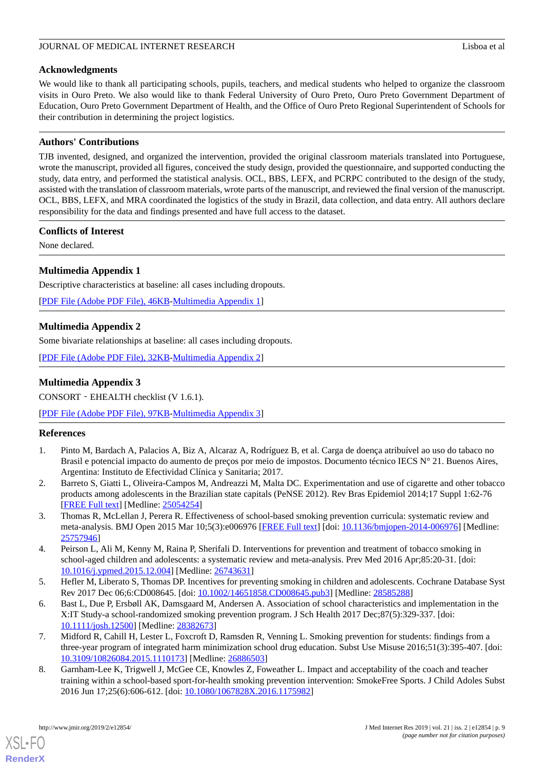# **Acknowledgments**

We would like to thank all participating schools, pupils, teachers, and medical students who helped to organize the classroom visits in Ouro Preto. We also would like to thank Federal University of Ouro Preto, Ouro Preto Government Department of Education, Ouro Preto Government Department of Health, and the Office of Ouro Preto Regional Superintendent of Schools for their contribution in determining the project logistics.

# **Authors' Contributions**

TJB invented, designed, and organized the intervention, provided the original classroom materials translated into Portuguese, wrote the manuscript, provided all figures, conceived the study design, provided the questionnaire, and supported conducting the study, data entry, and performed the statistical analysis. OCL, BBS, LEFX, and PCRPC contributed to the design of the study, assisted with the translation of classroom materials, wrote parts of the manuscript, and reviewed the final version of the manuscript. OCL, BBS, LEFX, and MRA coordinated the logistics of the study in Brazil, data collection, and data entry. All authors declare responsibility for the data and findings presented and have full access to the dataset.

# **Conflicts of Interest**

<span id="page-8-6"></span>None declared.

# **Multimedia Appendix 1**

Descriptive characteristics at baseline: all cases including dropouts.

<span id="page-8-7"></span>[[PDF File \(Adobe PDF File\), 46KB-Multimedia Appendix 1](https://jmir.org/api/download?alt_name=jmir_v21i2e12854_app1.pdf)]

# **Multimedia Appendix 2**

Some bivariate relationships at baseline: all cases including dropouts.

[[PDF File \(Adobe PDF File\), 32KB-Multimedia Appendix 2](https://jmir.org/api/download?alt_name=jmir_v21i2e12854_app2.pdf)]

# **Multimedia Appendix 3**

CONSORT‐EHEALTH checklist (V 1.6.1).

<span id="page-8-0"></span>[[PDF File \(Adobe PDF File\), 97KB-Multimedia Appendix 3](https://jmir.org/api/download?alt_name=jmir_v21i2e12854_app3.pdf&filename=5eb2d6bc5b72fbb00c9394c8ae63f429.pdf)]

# <span id="page-8-1"></span>**References**

- <span id="page-8-2"></span>1. Pinto M, Bardach A, Palacios A, Biz A, Alcaraz A, Rodríguez B, et al. Carga de doença atribuível ao uso do tabaco no Brasil e potencial impacto do aumento de preços por meio de impostos. Documento técnico IECS N° 21. Buenos Aires, Argentina: Instituto de Efectividad Clínica y Sanitaria; 2017.
- 2. Barreto S, Giatti L, Oliveira-Campos M, Andreazzi M, Malta DC. Experimentation and use of cigarette and other tobacco products among adolescents in the Brazilian state capitals (PeNSE 2012). Rev Bras Epidemiol 2014;17 Suppl 1:62-76 [[FREE Full text](http://www.scielo.br/scielo.php?script=sci_arttext&pid=S1415-790X2014000500062&lng=en&nrm=iso&tlng=en)] [Medline: [25054254](http://www.ncbi.nlm.nih.gov/entrez/query.fcgi?cmd=Retrieve&db=PubMed&list_uids=25054254&dopt=Abstract)]
- <span id="page-8-3"></span>3. Thomas R, McLellan J, Perera R. Effectiveness of school-based smoking prevention curricula: systematic review and meta-analysis. BMJ Open 2015 Mar 10;5(3):e006976 [[FREE Full text](http://bmjopen.bmj.com/cgi/pmidlookup?view=long&pmid=25757946)] [doi: [10.1136/bmjopen-2014-006976](http://dx.doi.org/10.1136/bmjopen-2014-006976)] [Medline: [25757946](http://www.ncbi.nlm.nih.gov/entrez/query.fcgi?cmd=Retrieve&db=PubMed&list_uids=25757946&dopt=Abstract)]
- <span id="page-8-4"></span>4. Peirson L, Ali M, Kenny M, Raina P, Sherifali D. Interventions for prevention and treatment of tobacco smoking in school-aged children and adolescents: a systematic review and meta-analysis. Prev Med 2016 Apr;85:20-31. [doi: [10.1016/j.ypmed.2015.12.004\]](http://dx.doi.org/10.1016/j.ypmed.2015.12.004) [Medline: [26743631\]](http://www.ncbi.nlm.nih.gov/entrez/query.fcgi?cmd=Retrieve&db=PubMed&list_uids=26743631&dopt=Abstract)
- 5. Hefler M, Liberato S, Thomas DP. Incentives for preventing smoking in children and adolescents. Cochrane Database Syst Rev 2017 Dec 06;6:CD008645. [doi: [10.1002/14651858.CD008645.pub3\]](http://dx.doi.org/10.1002/14651858.CD008645.pub3) [Medline: [28585288\]](http://www.ncbi.nlm.nih.gov/entrez/query.fcgi?cmd=Retrieve&db=PubMed&list_uids=28585288&dopt=Abstract)
- <span id="page-8-5"></span>6. Bast L, Due P, Ersbøll AK, Damsgaard M, Andersen A. Association of school characteristics and implementation in the X:IT Study-a school-randomized smoking prevention program. J Sch Health 2017 Dec;87(5):329-337. [doi: [10.1111/josh.12500\]](http://dx.doi.org/10.1111/josh.12500) [Medline: [28382673\]](http://www.ncbi.nlm.nih.gov/entrez/query.fcgi?cmd=Retrieve&db=PubMed&list_uids=28382673&dopt=Abstract)
- 7. Midford R, Cahill H, Lester L, Foxcroft D, Ramsden R, Venning L. Smoking prevention for students: findings from a three-year program of integrated harm minimization school drug education. Subst Use Misuse 2016;51(3):395-407. [doi: [10.3109/10826084.2015.1110173\]](http://dx.doi.org/10.3109/10826084.2015.1110173) [Medline: [26886503\]](http://www.ncbi.nlm.nih.gov/entrez/query.fcgi?cmd=Retrieve&db=PubMed&list_uids=26886503&dopt=Abstract)
- 8. Garnham-Lee K, Trigwell J, McGee CE, Knowles Z, Foweather L. Impact and acceptability of the coach and teacher training within a school-based sport-for-health smoking prevention intervention: SmokeFree Sports. J Child Adoles Subst 2016 Jun 17;25(6):606-612. [doi: [10.1080/1067828X.2016.1175982\]](http://dx.doi.org/10.1080/1067828X.2016.1175982)

[XSL](http://www.w3.org/Style/XSL)•FO **[RenderX](http://www.renderx.com/)**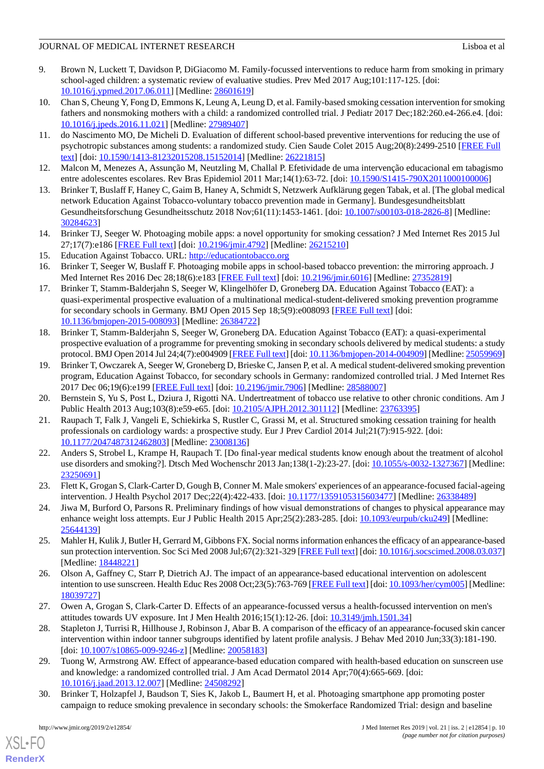- <span id="page-9-0"></span>9. Brown N, Luckett T, Davidson P, DiGiacomo M. Family-focussed interventions to reduce harm from smoking in primary school-aged children: a systematic review of evaluative studies. Prev Med 2017 Aug;101:117-125. [doi: [10.1016/j.ypmed.2017.06.011\]](http://dx.doi.org/10.1016/j.ypmed.2017.06.011) [Medline: [28601619\]](http://www.ncbi.nlm.nih.gov/entrez/query.fcgi?cmd=Retrieve&db=PubMed&list_uids=28601619&dopt=Abstract)
- <span id="page-9-1"></span>10. Chan S, Cheung Y, Fong D, Emmons K, Leung A, Leung D, et al. Family-based smoking cessation intervention for smoking fathers and nonsmoking mothers with a child: a randomized controlled trial. J Pediatr 2017 Dec;182:260.e4-266.e4. [doi: [10.1016/j.jpeds.2016.11.021\]](http://dx.doi.org/10.1016/j.jpeds.2016.11.021) [Medline: [27989407](http://www.ncbi.nlm.nih.gov/entrez/query.fcgi?cmd=Retrieve&db=PubMed&list_uids=27989407&dopt=Abstract)]
- <span id="page-9-2"></span>11. do Nascimento MO, De Micheli D. Evaluation of different school-based preventive interventions for reducing the use of psychotropic substances among students: a randomized study. Cien Saude Colet 2015 Aug;20(8):2499-2510 [[FREE Full](http://www.scielo.br/scielo.php?script=sci_arttext&pid=S1413-81232015000802499&lng=en&nrm=iso&tlng=en) [text](http://www.scielo.br/scielo.php?script=sci_arttext&pid=S1413-81232015000802499&lng=en&nrm=iso&tlng=en)] [doi: [10.1590/1413-81232015208.15152014\]](http://dx.doi.org/10.1590/1413-81232015208.15152014) [Medline: [26221815](http://www.ncbi.nlm.nih.gov/entrez/query.fcgi?cmd=Retrieve&db=PubMed&list_uids=26221815&dopt=Abstract)]
- <span id="page-9-4"></span><span id="page-9-3"></span>12. Malcon M, Menezes A, Assunção M, Neutzling M, Challal P. Efetividade de uma intervenção educacional em tabagismo entre adolescentes escolares. Rev Bras Epidemiol 2011 Mar;14(1):63-72. [doi: [10.1590/S1415-790X2011000100006](http://dx.doi.org/10.1590/S1415-790X2011000100006)]
- <span id="page-9-5"></span>13. Brinker T, Buslaff F, Haney C, Gaim B, Haney A, Schmidt S, Netzwerk Aufklärung gegen Tabak, et al. [The global medical network Education Against Tobacco-voluntary tobacco prevention made in Germany]. Bundesgesundheitsblatt Gesundheitsforschung Gesundheitsschutz 2018 Nov;61(11):1453-1461. [doi: [10.1007/s00103-018-2826-8\]](http://dx.doi.org/10.1007/s00103-018-2826-8) [Medline: [30284623](http://www.ncbi.nlm.nih.gov/entrez/query.fcgi?cmd=Retrieve&db=PubMed&list_uids=30284623&dopt=Abstract)]
- <span id="page-9-6"></span>14. Brinker TJ, Seeger W. Photoaging mobile apps: a novel opportunity for smoking cessation? J Med Internet Res 2015 Jul 27;17(7):e186 [\[FREE Full text](http://www.jmir.org/2015/7/e186/)] [doi: [10.2196/jmir.4792](http://dx.doi.org/10.2196/jmir.4792)] [Medline: [26215210](http://www.ncbi.nlm.nih.gov/entrez/query.fcgi?cmd=Retrieve&db=PubMed&list_uids=26215210&dopt=Abstract)]
- <span id="page-9-7"></span>15. Education Against Tobacco. URL:<http://educationtobacco.org>
- 16. Brinker T, Seeger W, Buslaff F. Photoaging mobile apps in school-based tobacco prevention: the mirroring approach. J Med Internet Res 2016 Dec 28;18(6):e183 [\[FREE Full text](http://www.jmir.org/2016/6/e183/)] [doi: [10.2196/jmir.6016\]](http://dx.doi.org/10.2196/jmir.6016) [Medline: [27352819](http://www.ncbi.nlm.nih.gov/entrez/query.fcgi?cmd=Retrieve&db=PubMed&list_uids=27352819&dopt=Abstract)]
- <span id="page-9-8"></span>17. Brinker T, Stamm-Balderjahn S, Seeger W, Klingelhöfer D, Groneberg DA. Education Against Tobacco (EAT): a quasi-experimental prospective evaluation of a multinational medical-student-delivered smoking prevention programme for secondary schools in Germany. BMJ Open 2015 Sep 18;5(9):e008093 [\[FREE Full text\]](http://bmjopen.bmj.com/cgi/pmidlookup?view=long&pmid=26384722) [doi: [10.1136/bmjopen-2015-008093\]](http://dx.doi.org/10.1136/bmjopen-2015-008093) [Medline: [26384722](http://www.ncbi.nlm.nih.gov/entrez/query.fcgi?cmd=Retrieve&db=PubMed&list_uids=26384722&dopt=Abstract)]
- <span id="page-9-9"></span>18. Brinker T, Stamm-Balderjahn S, Seeger W, Groneberg DA. Education Against Tobacco (EAT): a quasi-experimental prospective evaluation of a programme for preventing smoking in secondary schools delivered by medical students: a study protocol. BMJ Open 2014 Jul 24;4(7):e004909 [\[FREE Full text\]](http://bmjopen.bmj.com/cgi/pmidlookup?view=long&pmid=25059969) [doi: [10.1136/bmjopen-2014-004909\]](http://dx.doi.org/10.1136/bmjopen-2014-004909) [Medline: [25059969\]](http://www.ncbi.nlm.nih.gov/entrez/query.fcgi?cmd=Retrieve&db=PubMed&list_uids=25059969&dopt=Abstract)
- <span id="page-9-10"></span>19. Brinker T, Owczarek A, Seeger W, Groneberg D, Brieske C, Jansen P, et al. A medical student-delivered smoking prevention program, Education Against Tobacco, for secondary schools in Germany: randomized controlled trial. J Med Internet Res 2017 Dec 06;19(6):e199 [\[FREE Full text](http://www.jmir.org/2017/6/e199/)] [doi: [10.2196/jmir.7906\]](http://dx.doi.org/10.2196/jmir.7906) [Medline: [28588007](http://www.ncbi.nlm.nih.gov/entrez/query.fcgi?cmd=Retrieve&db=PubMed&list_uids=28588007&dopt=Abstract)]
- <span id="page-9-11"></span>20. Bernstein S, Yu S, Post L, Dziura J, Rigotti NA. Undertreatment of tobacco use relative to other chronic conditions. Am J Public Health 2013 Aug;103(8):e59-e65. [doi: [10.2105/AJPH.2012.301112](http://dx.doi.org/10.2105/AJPH.2012.301112)] [Medline: [23763395](http://www.ncbi.nlm.nih.gov/entrez/query.fcgi?cmd=Retrieve&db=PubMed&list_uids=23763395&dopt=Abstract)]
- 21. Raupach T, Falk J, Vangeli E, Schiekirka S, Rustler C, Grassi M, et al. Structured smoking cessation training for health professionals on cardiology wards: a prospective study. Eur J Prev Cardiol 2014 Jul;21(7):915-922. [doi: [10.1177/2047487312462803\]](http://dx.doi.org/10.1177/2047487312462803) [Medline: [23008136\]](http://www.ncbi.nlm.nih.gov/entrez/query.fcgi?cmd=Retrieve&db=PubMed&list_uids=23008136&dopt=Abstract)
- <span id="page-9-12"></span>22. Anders S, Strobel L, Krampe H, Raupach T. [Do final-year medical students know enough about the treatment of alcohol use disorders and smoking?]. Dtsch Med Wochenschr 2013 Jan;138(1-2):23-27. [doi: [10.1055/s-0032-1327367\]](http://dx.doi.org/10.1055/s-0032-1327367) [Medline: [23250691](http://www.ncbi.nlm.nih.gov/entrez/query.fcgi?cmd=Retrieve&db=PubMed&list_uids=23250691&dopt=Abstract)]
- 23. Flett K, Grogan S, Clark-Carter D, Gough B, Conner M. Male smokers' experiences of an appearance-focused facial-ageing intervention. J Health Psychol 2017 Dec;22(4):422-433. [doi: [10.1177/1359105315603477](http://dx.doi.org/10.1177/1359105315603477)] [Medline: [26338489](http://www.ncbi.nlm.nih.gov/entrez/query.fcgi?cmd=Retrieve&db=PubMed&list_uids=26338489&dopt=Abstract)]
- 24. Jiwa M, Burford O, Parsons R. Preliminary findings of how visual demonstrations of changes to physical appearance may enhance weight loss attempts. Eur J Public Health 2015 Apr;25(2):283-285. [doi: [10.1093/eurpub/cku249](http://dx.doi.org/10.1093/eurpub/cku249)] [Medline: [25644139](http://www.ncbi.nlm.nih.gov/entrez/query.fcgi?cmd=Retrieve&db=PubMed&list_uids=25644139&dopt=Abstract)]
- 25. Mahler H, Kulik J, Butler H, Gerrard M, Gibbons FX. Social norms information enhances the efficacy of an appearance-based sun protection intervention. Soc Sci Med 2008 Jul;67(2):321-329 [\[FREE Full text](http://europepmc.org/abstract/MED/18448221)] [doi: [10.1016/j.socscimed.2008.03.037](http://dx.doi.org/10.1016/j.socscimed.2008.03.037)] [Medline: [18448221](http://www.ncbi.nlm.nih.gov/entrez/query.fcgi?cmd=Retrieve&db=PubMed&list_uids=18448221&dopt=Abstract)]
- 26. Olson A, Gaffney C, Starr P, Dietrich AJ. The impact of an appearance-based educational intervention on adolescent intention to use sunscreen. Health Educ Res 2008 Oct; 23(5): 763-769 [\[FREE Full text](http://europepmc.org/abstract/MED/18039727)] [doi: [10.1093/her/cym005](http://dx.doi.org/10.1093/her/cym005)] [Medline: [18039727](http://www.ncbi.nlm.nih.gov/entrez/query.fcgi?cmd=Retrieve&db=PubMed&list_uids=18039727&dopt=Abstract)]
- 27. Owen A, Grogan S, Clark-Carter D. Effects of an appearance-focussed versus a health-focussed intervention on men's attitudes towards UV exposure. Int J Men Health 2016;15(1):12-26. [doi: [10.3149/jmh.1501.34](http://dx.doi.org/10.3149/jmh.1501.34)]
- 28. Stapleton J, Turrisi R, Hillhouse J, Robinson J, Abar B. A comparison of the efficacy of an appearance-focused skin cancer intervention within indoor tanner subgroups identified by latent profile analysis. J Behav Med 2010 Jun;33(3):181-190. [doi: [10.1007/s10865-009-9246-z\]](http://dx.doi.org/10.1007/s10865-009-9246-z) [Medline: [20058183](http://www.ncbi.nlm.nih.gov/entrez/query.fcgi?cmd=Retrieve&db=PubMed&list_uids=20058183&dopt=Abstract)]
- 29. Tuong W, Armstrong AW. Effect of appearance-based education compared with health-based education on sunscreen use and knowledge: a randomized controlled trial. J Am Acad Dermatol 2014 Apr;70(4):665-669. [doi: [10.1016/j.jaad.2013.12.007](http://dx.doi.org/10.1016/j.jaad.2013.12.007)] [Medline: [24508292](http://www.ncbi.nlm.nih.gov/entrez/query.fcgi?cmd=Retrieve&db=PubMed&list_uids=24508292&dopt=Abstract)]
- 30. Brinker T, Holzapfel J, Baudson T, Sies K, Jakob L, Baumert H, et al. Photoaging smartphone app promoting poster campaign to reduce smoking prevalence in secondary schools: the Smokerface Randomized Trial: design and baseline

[XSL](http://www.w3.org/Style/XSL)•FO **[RenderX](http://www.renderx.com/)**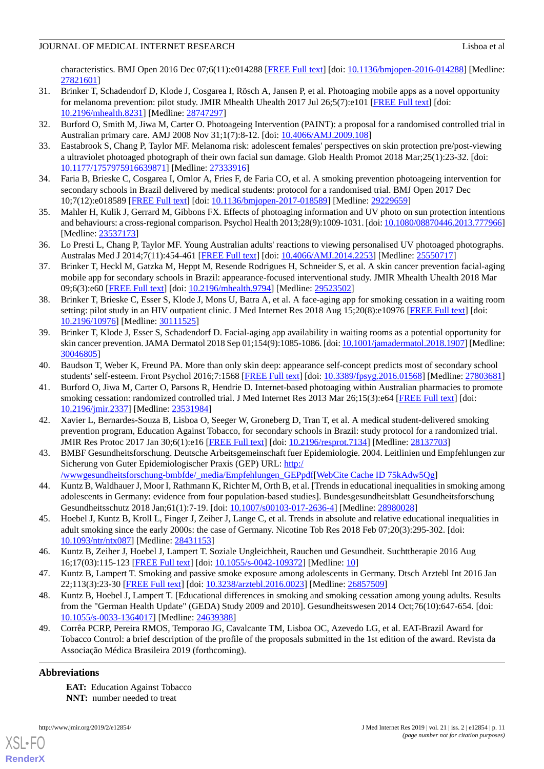characteristics. BMJ Open 2016 Dec 07;6(11):e014288 [\[FREE Full text\]](http://bmjopen.bmj.com/cgi/pmidlookup?view=long&pmid=27821601) [doi: [10.1136/bmjopen-2016-014288\]](http://dx.doi.org/10.1136/bmjopen-2016-014288) [Medline: [27821601](http://www.ncbi.nlm.nih.gov/entrez/query.fcgi?cmd=Retrieve&db=PubMed&list_uids=27821601&dopt=Abstract)]

- 31. Brinker T, Schadendorf D, Klode J, Cosgarea I, Rösch A, Jansen P, et al. Photoaging mobile apps as a novel opportunity for melanoma prevention: pilot study. JMIR Mhealth Uhealth 2017 Jul 26;5(7):e101 [[FREE Full text](http://mhealth.jmir.org/2017/7/e101/)] [doi: [10.2196/mhealth.8231](http://dx.doi.org/10.2196/mhealth.8231)] [Medline: [28747297](http://www.ncbi.nlm.nih.gov/entrez/query.fcgi?cmd=Retrieve&db=PubMed&list_uids=28747297&dopt=Abstract)]
- 32. Burford O, Smith M, Jiwa M, Carter O. Photoageing Intervention (PAINT): a proposal for a randomised controlled trial in Australian primary care. AMJ 2008 Nov 31;1(7):8-12. [doi: [10.4066/AMJ.2009.108](http://dx.doi.org/10.4066/AMJ.2009.108)]
- 33. Eastabrook S, Chang P, Taylor MF. Melanoma risk: adolescent females' perspectives on skin protection pre/post-viewing a ultraviolet photoaged photograph of their own facial sun damage. Glob Health Promot 2018 Mar;25(1):23-32. [doi: [10.1177/1757975916639871\]](http://dx.doi.org/10.1177/1757975916639871) [Medline: [27333916\]](http://www.ncbi.nlm.nih.gov/entrez/query.fcgi?cmd=Retrieve&db=PubMed&list_uids=27333916&dopt=Abstract)
- 34. Faria B, Brieske C, Cosgarea I, Omlor A, Fries F, de Faria CO, et al. A smoking prevention photoageing intervention for secondary schools in Brazil delivered by medical students: protocol for a randomised trial. BMJ Open 2017 Dec 10;7(12):e018589 [\[FREE Full text](http://bmjopen.bmj.com/cgi/pmidlookup?view=long&pmid=29229659)] [doi: [10.1136/bmjopen-2017-018589\]](http://dx.doi.org/10.1136/bmjopen-2017-018589) [Medline: [29229659](http://www.ncbi.nlm.nih.gov/entrez/query.fcgi?cmd=Retrieve&db=PubMed&list_uids=29229659&dopt=Abstract)]
- 35. Mahler H, Kulik J, Gerrard M, Gibbons FX. Effects of photoaging information and UV photo on sun protection intentions and behaviours: a cross-regional comparison. Psychol Health 2013;28(9):1009-1031. [doi: [10.1080/08870446.2013.777966\]](http://dx.doi.org/10.1080/08870446.2013.777966) [Medline: [23537173](http://www.ncbi.nlm.nih.gov/entrez/query.fcgi?cmd=Retrieve&db=PubMed&list_uids=23537173&dopt=Abstract)]
- 36. Lo Presti L, Chang P, Taylor MF. Young Australian adults' reactions to viewing personalised UV photoaged photographs. Australas Med J 2014;7(11):454-461 [\[FREE Full text\]](http://europepmc.org/abstract/MED/25550717) [doi: [10.4066/AMJ.2014.2253](http://dx.doi.org/10.4066/AMJ.2014.2253)] [Medline: [25550717](http://www.ncbi.nlm.nih.gov/entrez/query.fcgi?cmd=Retrieve&db=PubMed&list_uids=25550717&dopt=Abstract)]
- 37. Brinker T, Heckl M, Gatzka M, Heppt M, Resende Rodrigues H, Schneider S, et al. A skin cancer prevention facial-aging mobile app for secondary schools in Brazil: appearance-focused interventional study. JMIR Mhealth Uhealth 2018 Mar 09;6(3):e60 [\[FREE Full text](http://mhealth.jmir.org/2018/3/e60/)] [doi: [10.2196/mhealth.9794\]](http://dx.doi.org/10.2196/mhealth.9794) [Medline: [29523502](http://www.ncbi.nlm.nih.gov/entrez/query.fcgi?cmd=Retrieve&db=PubMed&list_uids=29523502&dopt=Abstract)]
- <span id="page-10-0"></span>38. Brinker T, Brieske C, Esser S, Klode J, Mons U, Batra A, et al. A face-aging app for smoking cessation in a waiting room setting: pilot study in an HIV outpatient clinic. J Med Internet Res 2018 Aug 15;20(8):e10976 [[FREE Full text](http://www.jmir.org/2018/8/e10976/)] [doi: [10.2196/10976\]](http://dx.doi.org/10.2196/10976) [Medline: [30111525\]](http://www.ncbi.nlm.nih.gov/entrez/query.fcgi?cmd=Retrieve&db=PubMed&list_uids=30111525&dopt=Abstract)
- <span id="page-10-2"></span><span id="page-10-1"></span>39. Brinker T, Klode J, Esser S, Schadendorf D. Facial-aging app availability in waiting rooms as a potential opportunity for skin cancer prevention. JAMA Dermatol 2018 Sep 01;154(9):1085-1086. [doi: [10.1001/jamadermatol.2018.1907\]](http://dx.doi.org/10.1001/jamadermatol.2018.1907) [Medline: [30046805](http://www.ncbi.nlm.nih.gov/entrez/query.fcgi?cmd=Retrieve&db=PubMed&list_uids=30046805&dopt=Abstract)]
- 40. Baudson T, Weber K, Freund PA. More than only skin deep: appearance self-concept predicts most of secondary school students' self-esteem. Front Psychol 2016;7:1568 [[FREE Full text\]](https://dx.doi.org/10.3389/fpsyg.2016.01568) [doi: [10.3389/fpsyg.2016.01568](http://dx.doi.org/10.3389/fpsyg.2016.01568)] [Medline: [27803681](http://www.ncbi.nlm.nih.gov/entrez/query.fcgi?cmd=Retrieve&db=PubMed&list_uids=27803681&dopt=Abstract)]
- <span id="page-10-3"></span>41. Burford O, Jiwa M, Carter O, Parsons R, Hendrie D. Internet-based photoaging within Australian pharmacies to promote smoking cessation: randomized controlled trial. J Med Internet Res 2013 Mar 26;15(3):e64 [[FREE Full text](http://www.jmir.org/2013/3/e64/)] [doi: [10.2196/jmir.2337](http://dx.doi.org/10.2196/jmir.2337)] [Medline: [23531984](http://www.ncbi.nlm.nih.gov/entrez/query.fcgi?cmd=Retrieve&db=PubMed&list_uids=23531984&dopt=Abstract)]
- <span id="page-10-4"></span>42. Xavier L, Bernardes-Souza B, Lisboa O, Seeger W, Groneberg D, Tran T, et al. A medical student-delivered smoking prevention program, Education Against Tobacco, for secondary schools in Brazil: study protocol for a randomized trial. JMIR Res Protoc 2017 Jan 30;6(1):e16 [[FREE Full text](http://www.researchprotocols.org/2017/1/e16/)] [doi: [10.2196/resprot.7134\]](http://dx.doi.org/10.2196/resprot.7134) [Medline: [28137703\]](http://www.ncbi.nlm.nih.gov/entrez/query.fcgi?cmd=Retrieve&db=PubMed&list_uids=28137703&dopt=Abstract)
- <span id="page-10-5"></span>43. BMBF Gesundheitsforschung. Deutsche Arbeitsgemeinschaft fuer Epidemiologie. 2004. Leitlinien und Empfehlungen zur Sicherung von Guter Epidemiologischer Praxis (GEP) URL: [http:/](http://wwwgesundheitsforschung-bmbfde/_media/Empfehlungen_GEPpdf) [/wwwgesundheitsforschung-bmbfde/\\_media/Empfehlungen\\_GEPpdf](http://wwwgesundheitsforschung-bmbfde/_media/Empfehlungen_GEPpdf)[\[WebCite Cache ID 75kAdw5Qg\]](http://www.webcitation.org/

                                75kAdw5Qg)
- 44. Kuntz B, Waldhauer J, Moor I, Rathmann K, Richter M, Orth B, et al. [Trends in educational inequalities in smoking among adolescents in Germany: evidence from four population-based studies]. Bundesgesundheitsblatt Gesundheitsforschung Gesundheitsschutz 2018 Jan;61(1):7-19. [doi: [10.1007/s00103-017-2636-4\]](http://dx.doi.org/10.1007/s00103-017-2636-4) [Medline: [28980028\]](http://www.ncbi.nlm.nih.gov/entrez/query.fcgi?cmd=Retrieve&db=PubMed&list_uids=28980028&dopt=Abstract)
- 45. Hoebel J, Kuntz B, Kroll L, Finger J, Zeiher J, Lange C, et al. Trends in absolute and relative educational inequalities in adult smoking since the early 2000s: the case of Germany. Nicotine Tob Res 2018 Feb 07;20(3):295-302. [doi: [10.1093/ntr/ntx087\]](http://dx.doi.org/10.1093/ntr/ntx087) [Medline: [28431153](http://www.ncbi.nlm.nih.gov/entrez/query.fcgi?cmd=Retrieve&db=PubMed&list_uids=28431153&dopt=Abstract)]
- <span id="page-10-6"></span>46. Kuntz B, Zeiher J, Hoebel J, Lampert T. Soziale Ungleichheit, Rauchen und Gesundheit. Suchttherapie 2016 Aug 16;17(03):115-123 [[FREE Full text](http://europepmc.org/abstract/MED/10)] [doi: [10.1055/s-0042-109372](http://dx.doi.org/10.1055/s-0042-109372)] [Medline: [10](http://www.ncbi.nlm.nih.gov/entrez/query.fcgi?cmd=Retrieve&db=PubMed&list_uids=10&dopt=Abstract)]
- <span id="page-10-7"></span>47. Kuntz B, Lampert T. Smoking and passive smoke exposure among adolescents in Germany. Dtsch Arztebl Int 2016 Jan 22;113(3):23-30 [[FREE Full text](https://dx.doi.org/10.3238/arztebl.2016.0023)] [doi: [10.3238/arztebl.2016.0023](http://dx.doi.org/10.3238/arztebl.2016.0023)] [Medline: [26857509\]](http://www.ncbi.nlm.nih.gov/entrez/query.fcgi?cmd=Retrieve&db=PubMed&list_uids=26857509&dopt=Abstract)
- 48. Kuntz B, Hoebel J, Lampert T. [Educational differences in smoking and smoking cessation among young adults. Results from the "German Health Update" (GEDA) Study 2009 and 2010]. Gesundheitswesen 2014 Oct;76(10):647-654. [doi: [10.1055/s-0033-1364017](http://dx.doi.org/10.1055/s-0033-1364017)] [Medline: [24639388](http://www.ncbi.nlm.nih.gov/entrez/query.fcgi?cmd=Retrieve&db=PubMed&list_uids=24639388&dopt=Abstract)]
- 49. Corrêa PCRP, Pereira RMOS, Temporao JG, Cavalcante TM, Lisboa OC, Azevedo LG, et al. EAT-Brazil Award for Tobacco Control: a brief description of the profile of the proposals submitted in the 1st edition of the award. Revista da Associação Médica Brasileira 2019 (forthcoming).

# **Abbreviations**

[XSL](http://www.w3.org/Style/XSL)•FO **[RenderX](http://www.renderx.com/)**

**EAT:** Education Against Tobacco **NNT:** number needed to treat